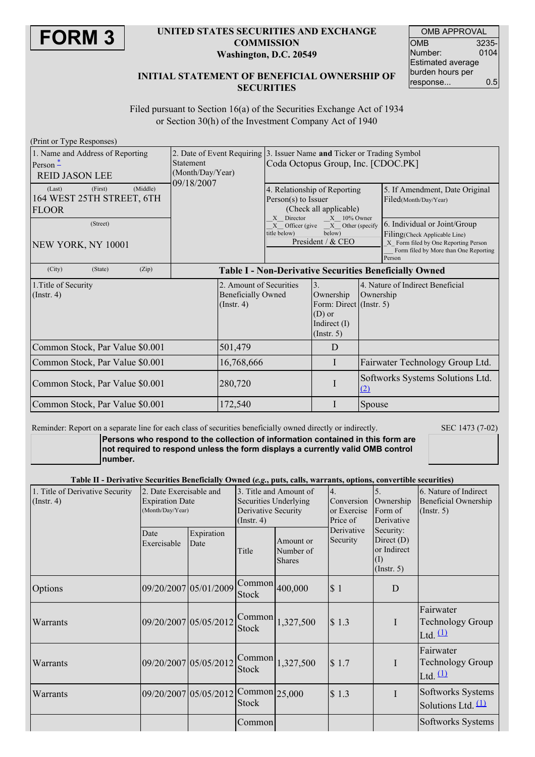

#### **UNITED STATES SECURITIES AND EXCHANGE COMMISSION Washington, D.C. 20549**

| <b>OMB APPROVAL</b> |       |  |  |  |  |  |
|---------------------|-------|--|--|--|--|--|
| ОМВ                 | 3235- |  |  |  |  |  |
| Number:             | 0104  |  |  |  |  |  |
| Estimated average   |       |  |  |  |  |  |
| burden hours per    |       |  |  |  |  |  |
| response            | 0.5   |  |  |  |  |  |

### **INITIAL STATEMENT OF BENEFICIAL OWNERSHIP OF SECURITIES**

Filed pursuant to Section 16(a) of the Securities Exchange Act of 1934 or Section 30(h) of the Investment Company Act of 1940

| (Print or Type Responses)                  |                                                        |                           |                                                                        |                                            |                                                                               |  |  |
|--------------------------------------------|--------------------------------------------------------|---------------------------|------------------------------------------------------------------------|--------------------------------------------|-------------------------------------------------------------------------------|--|--|
| 1. Name and Address of Reporting           |                                                        |                           | 2. Date of Event Requiring 3. Issuer Name and Ticker or Trading Symbol |                                            |                                                                               |  |  |
| $Person -$                                 | <b>Statement</b>                                       |                           | Coda Octopus Group, Inc. [CDOC.PK]                                     |                                            |                                                                               |  |  |
| <b>REID JASON LEE</b>                      | (Month/Day/Year)<br>09/18/2007                         |                           |                                                                        |                                            |                                                                               |  |  |
| (Middle)<br>(First)<br>(Last)              |                                                        |                           |                                                                        | 4. Relationship of Reporting               | 5. If Amendment, Date Original                                                |  |  |
| 164 WEST 25TH STREET, 6TH                  |                                                        |                           | Person(s) to Issuer                                                    |                                            | Filed(Month/Day/Year)                                                         |  |  |
| <b>FLOOR</b>                               |                                                        |                           | X Director                                                             | (Check all applicable)<br>$X = 10\%$ Owner |                                                                               |  |  |
| (Street)                                   |                                                        |                           | Officer (give<br>X                                                     | X Other (specify                           | 6. Individual or Joint/Group                                                  |  |  |
|                                            |                                                        |                           | below)<br>title below)<br>President / & CEO                            |                                            | Filing(Check Applicable Line)                                                 |  |  |
| NEW YORK, NY 10001                         |                                                        |                           |                                                                        |                                            | X Form filed by One Reporting Person<br>Form filed by More than One Reporting |  |  |
|                                            |                                                        |                           |                                                                        |                                            | Person                                                                        |  |  |
| (City)<br>(Zip)<br>(State)                 | Table I - Non-Derivative Securities Beneficially Owned |                           |                                                                        |                                            |                                                                               |  |  |
| 1. Title of Security                       |                                                        | 2. Amount of Securities   |                                                                        | 3.                                         | 4. Nature of Indirect Beneficial                                              |  |  |
| $($ Instr. 4 $)$                           |                                                        | <b>Beneficially Owned</b> |                                                                        | Ownership                                  | Ownership                                                                     |  |  |
|                                            | $($ Instr. 4 $)$                                       |                           |                                                                        | Form: Direct (Instr. 5)                    |                                                                               |  |  |
|                                            |                                                        |                           |                                                                        | $(D)$ or<br>Indirect $(I)$                 |                                                                               |  |  |
|                                            |                                                        |                           |                                                                        | (Insert. 5)                                |                                                                               |  |  |
| 501,479<br>Common Stock, Par Value \$0.001 |                                                        |                           |                                                                        | D                                          |                                                                               |  |  |
|                                            |                                                        |                           |                                                                        |                                            |                                                                               |  |  |
| Common Stock, Par Value \$0.001            |                                                        | 16,768,666                |                                                                        | I                                          | Fairwater Technology Group Ltd.                                               |  |  |
| Common Stock, Par Value \$0.001            | 280,720                                                |                           |                                                                        | I                                          | Softworks Systems Solutions Ltd.<br>(2)                                       |  |  |
| Common Stock, Par Value \$0.001            | 172,540                                                |                           |                                                                        | I                                          | Spouse                                                                        |  |  |

Reminder: Report on a separate line for each class of securities beneficially owned directly or indirectly. SEC 1473 (7-02) **Persons who respond to the collection of information contained in this form are not required to respond unless the form displays a currently valid OMB control number.**

Table II - Derivative Securities Reneficially Owned (e.g., puts, calls, warrants, options, convertible securities)

|                                                     |                                                                       |                       |                                                                                            | Derivative Secarities Denencially Owned (e.g., pats, calls, wait alles, options, convertible secarities |                                             |                                                                     |                                                                          |
|-----------------------------------------------------|-----------------------------------------------------------------------|-----------------------|--------------------------------------------------------------------------------------------|---------------------------------------------------------------------------------------------------------|---------------------------------------------|---------------------------------------------------------------------|--------------------------------------------------------------------------|
| 1. Title of Derivative Security<br>$($ Instr. 4 $)$ | 2. Date Exercisable and<br><b>Expiration Date</b><br>(Month/Day/Year) |                       | 3. Title and Amount of<br>Securities Underlying<br>Derivative Security<br>$($ Instr. 4 $)$ |                                                                                                         | 4.<br>Conversion<br>or Exercise<br>Price of | 5.<br>Ownership<br>Form of<br>Derivative                            | 6. Nature of Indirect<br><b>Beneficial Ownership</b><br>$($ Instr. 5 $)$ |
|                                                     | Date<br>Exercisable                                                   | Expiration<br>Date    | Title                                                                                      | Amount or<br>Number of<br><b>Shares</b>                                                                 | Derivative<br>Security                      | Security:<br>Direct $(D)$<br>or Indirect<br>(1)<br>$($ Instr. 5 $)$ |                                                                          |
| Options                                             |                                                                       | 09/20/2007 05/01/2009 | Common<br><b>Stock</b>                                                                     | 400,000                                                                                                 | \$1                                         | D                                                                   |                                                                          |
| Warrants                                            |                                                                       | 09/20/2007 05/05/2012 | Common<br><b>Stock</b>                                                                     | 1,327,500                                                                                               | \$1.3                                       | $\mathbf I$                                                         | Fairwater<br><b>Technology Group</b><br>Ltd. $(1)$                       |
| Warrants                                            |                                                                       | 09/20/2007 05/05/2012 | Common<br><b>Stock</b>                                                                     | 1,327,500                                                                                               | \$1.7                                       | $\mathbf I$                                                         | Fairwater<br><b>Technology Group</b><br>Ltd. $(1)$                       |
| Warrants                                            |                                                                       | 09/20/2007 05/05/2012 | $Common$ <sub>25,000</sub><br><b>Stock</b>                                                 |                                                                                                         | \$1.3                                       | $\mathbf I$                                                         | Softworks Systems<br>Solutions Ltd. $(1)$                                |
|                                                     |                                                                       |                       | Common                                                                                     |                                                                                                         |                                             |                                                                     | Softworks Systems                                                        |